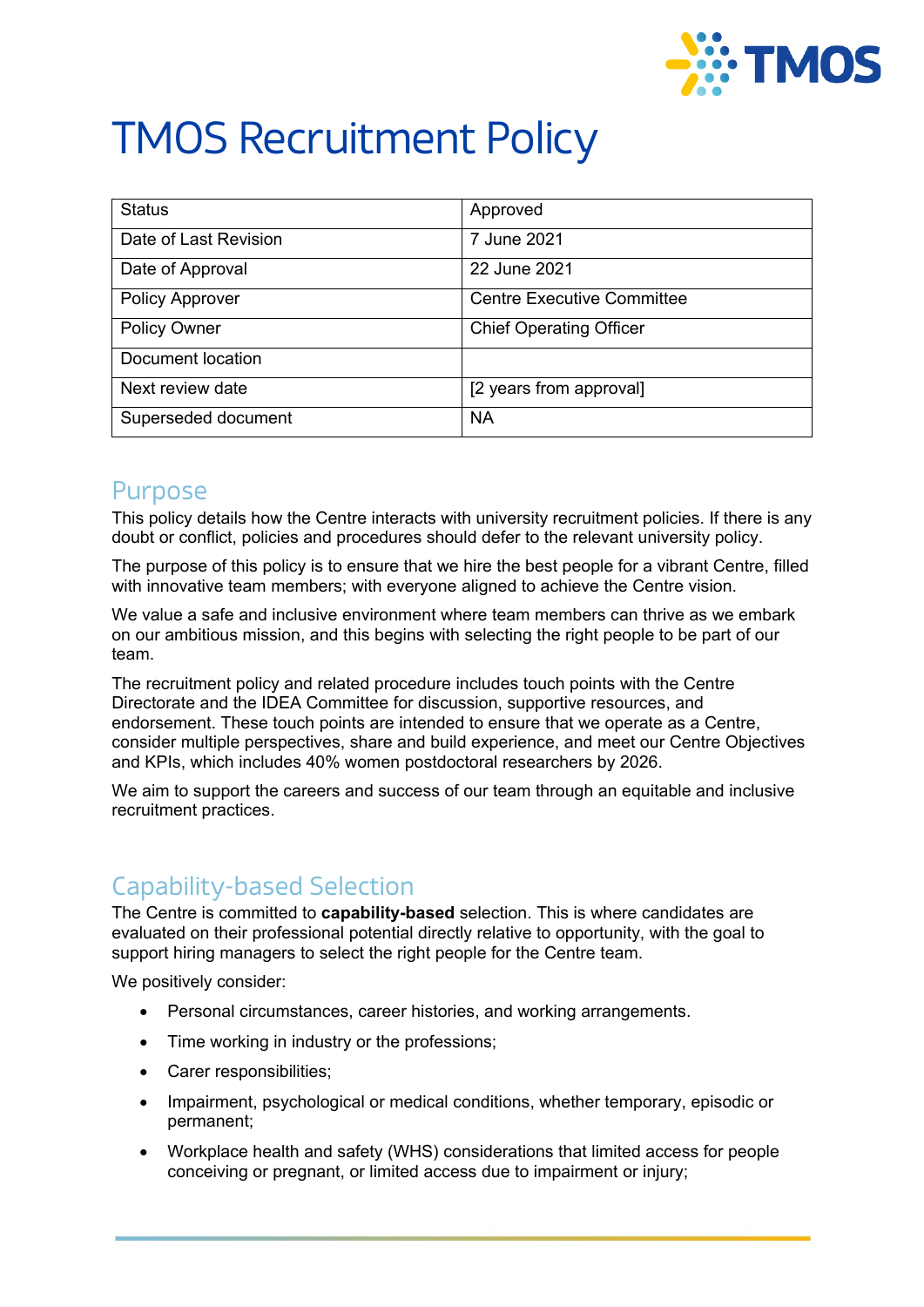

# TMOS Recruitment Policy

| <b>Status</b>          | Approved                          |
|------------------------|-----------------------------------|
| Date of Last Revision  | 7 June 2021                       |
| Date of Approval       | 22 June 2021                      |
| <b>Policy Approver</b> | <b>Centre Executive Committee</b> |
| <b>Policy Owner</b>    | <b>Chief Operating Officer</b>    |
| Document location      |                                   |
| Next review date       | [2 years from approval]           |
| Superseded document    | <b>NA</b>                         |

#### Purpose

This policy details how the Centre interacts with university recruitment policies. If there is any doubt or conflict, policies and procedures should defer to the relevant university policy.

The purpose of this policy is to ensure that we hire the best people for a vibrant Centre, filled with innovative team members; with everyone aligned to achieve the Centre vision.

We value a safe and inclusive environment where team members can thrive as we embark on our ambitious mission, and this begins with selecting the right people to be part of our team.

The recruitment policy and related procedure includes touch points with the Centre Directorate and the IDEA Committee for discussion, supportive resources, and endorsement. These touch points are intended to ensure that we operate as a Centre, consider multiple perspectives, share and build experience, and meet our Centre Objectives and KPIs, which includes 40% women postdoctoral researchers by 2026.

We aim to support the careers and success of our team through an equitable and inclusive recruitment practices.

## Capability-based Selection

The Centre is committed to **capability-based** selection. This is where candidates are evaluated on their professional potential directly relative to opportunity, with the goal to support hiring managers to select the right people for the Centre team.

We positively consider:

- Personal circumstances, career histories, and working arrangements.
- Time working in industry or the professions;
- Carer responsibilities;
- Impairment, psychological or medical conditions, whether temporary, episodic or permanent;
- Workplace health and safety (WHS) considerations that limited access for people conceiving or pregnant, or limited access due to impairment or injury;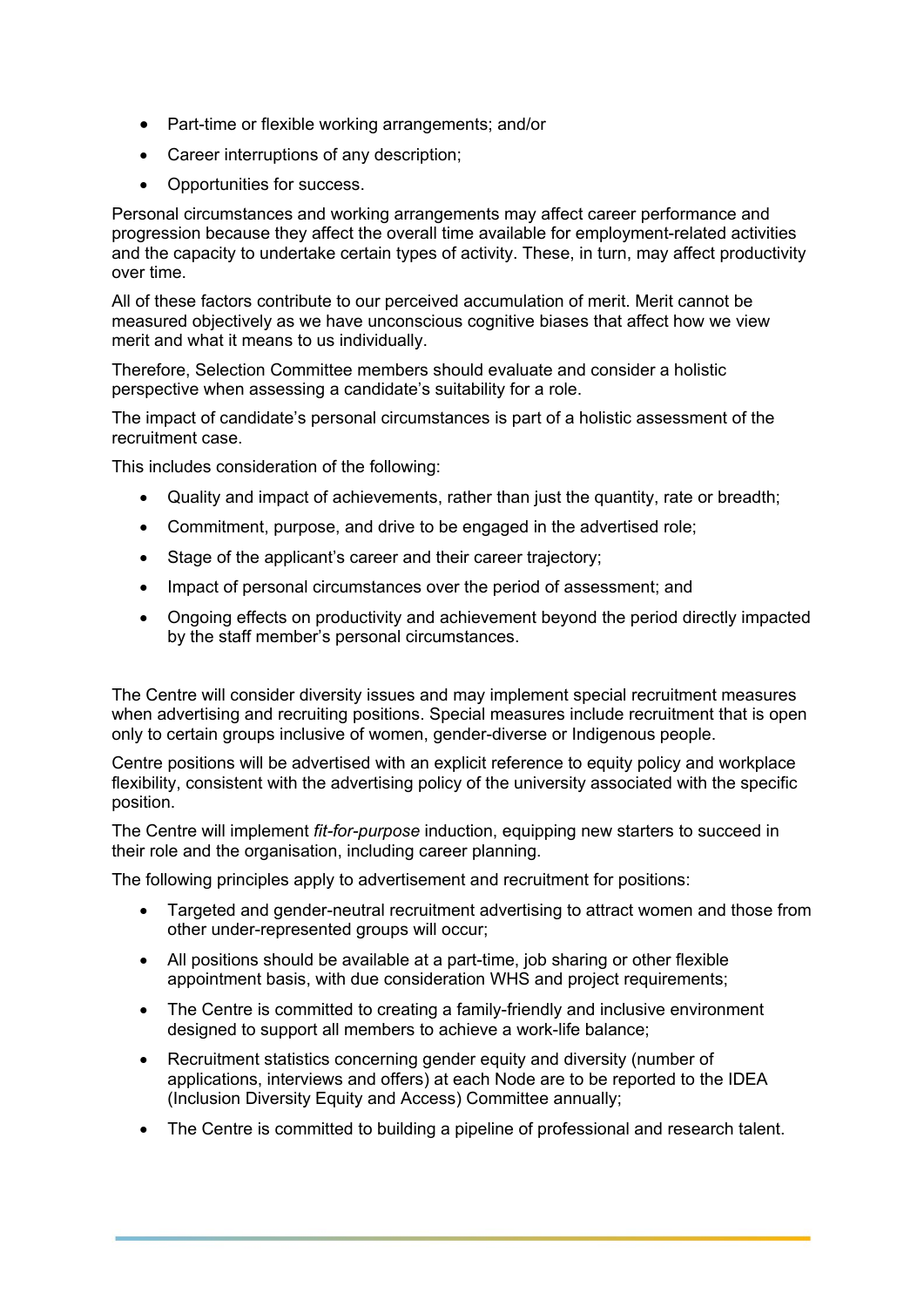- Part-time or flexible working arrangements; and/or
- Career interruptions of any description;
- Opportunities for success.

Personal circumstances and working arrangements may affect career performance and progression because they affect the overall time available for employment-related activities and the capacity to undertake certain types of activity. These, in turn, may affect productivity over time.

All of these factors contribute to our perceived accumulation of merit. Merit cannot be measured objectively as we have unconscious cognitive biases that affect how we view merit and what it means to us individually.

Therefore, Selection Committee members should evaluate and consider a holistic perspective when assessing a candidate's suitability for a role.

The impact of candidate's personal circumstances is part of a holistic assessment of the recruitment case.

This includes consideration of the following:

- Quality and impact of achievements, rather than just the quantity, rate or breadth;
- Commitment, purpose, and drive to be engaged in the advertised role;
- Stage of the applicant's career and their career trajectory;
- Impact of personal circumstances over the period of assessment; and
- Ongoing effects on productivity and achievement beyond the period directly impacted by the staff member's personal circumstances.

The Centre will consider diversity issues and may implement special recruitment measures when advertising and recruiting positions. Special measures include recruitment that is open only to certain groups inclusive of women, gender-diverse or Indigenous people.

Centre positions will be advertised with an explicit reference to equity policy and workplace flexibility, consistent with the advertising policy of the university associated with the specific position.

The Centre will implement *fit-for-purpose* induction, equipping new starters to succeed in their role and the organisation, including career planning.

The following principles apply to advertisement and recruitment for positions:

- Targeted and gender-neutral recruitment advertising to attract women and those from other under-represented groups will occur;
- All positions should be available at a part-time, job sharing or other flexible appointment basis, with due consideration WHS and project requirements;
- The Centre is committed to creating a family-friendly and inclusive environment designed to support all members to achieve a work-life balance;
- Recruitment statistics concerning gender equity and diversity (number of applications, interviews and offers) at each Node are to be reported to the IDEA (Inclusion Diversity Equity and Access) Committee annually;
- The Centre is committed to building a pipeline of professional and research talent.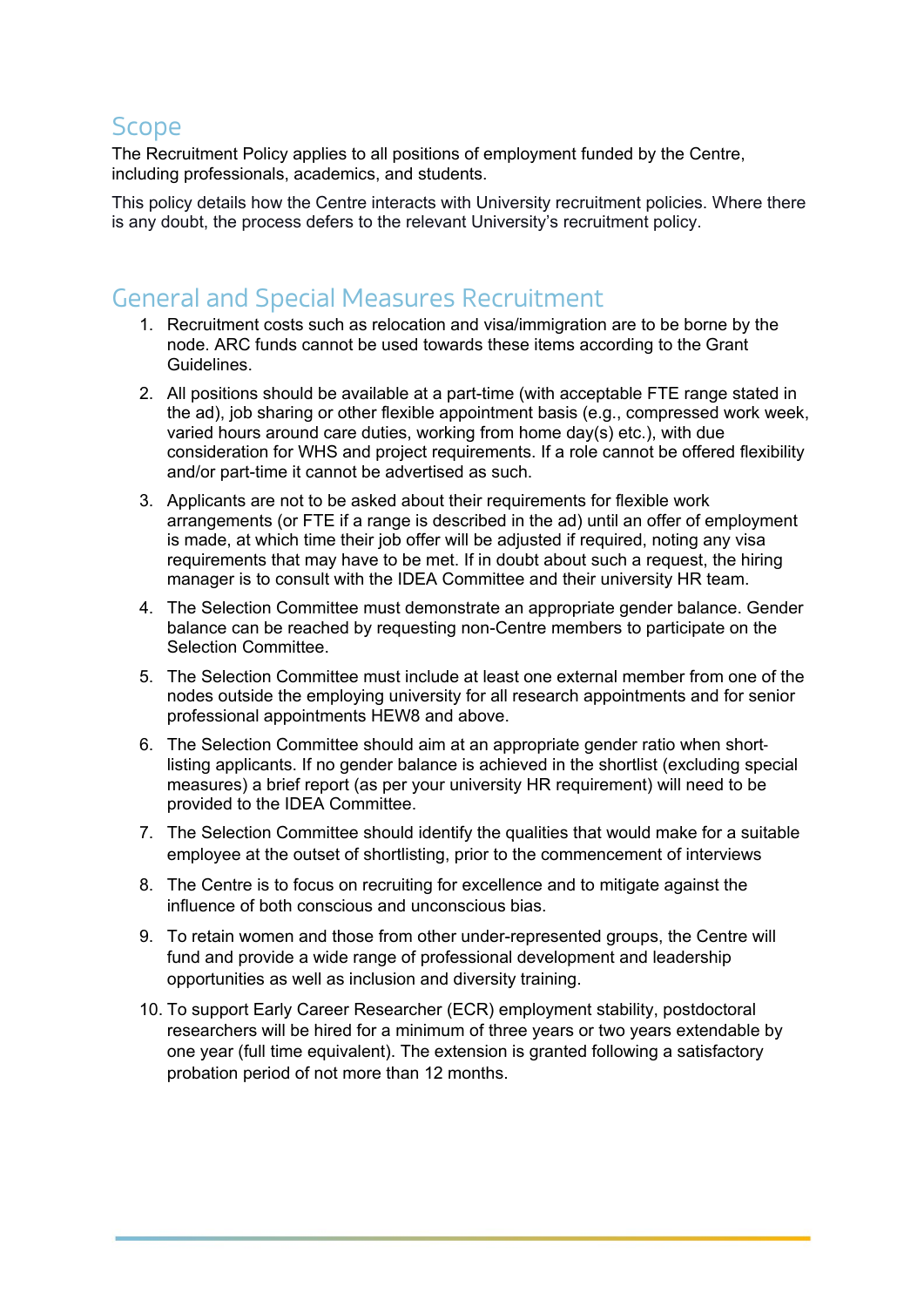#### **Scope**

The Recruitment Policy applies to all positions of employment funded by the Centre, including professionals, academics, and students.

This policy details how the Centre interacts with University recruitment policies. Where there is any doubt, the process defers to the relevant University's recruitment policy.

# General and Special Measures Recruitment

- 1. Recruitment costs such as relocation and visa/immigration are to be borne by the node. ARC funds cannot be used towards these items according to the Grant Guidelines.
- 2. All positions should be available at a part-time (with acceptable FTE range stated in the ad), job sharing or other flexible appointment basis (e.g., compressed work week, varied hours around care duties, working from home day(s) etc.), with due consideration for WHS and project requirements. If a role cannot be offered flexibility and/or part-time it cannot be advertised as such.
- 3. Applicants are not to be asked about their requirements for flexible work arrangements (or FTE if a range is described in the ad) until an offer of employment is made, at which time their job offer will be adjusted if required, noting any visa requirements that may have to be met. If in doubt about such a request, the hiring manager is to consult with the IDEA Committee and their university HR team.
- 4. The Selection Committee must demonstrate an appropriate gender balance. Gender balance can be reached by requesting non-Centre members to participate on the Selection Committee.
- 5. The Selection Committee must include at least one external member from one of the nodes outside the employing university for all research appointments and for senior professional appointments HEW8 and above.
- 6. The Selection Committee should aim at an appropriate gender ratio when short‐ listing applicants. If no gender balance is achieved in the shortlist (excluding special measures) a brief report (as per your university HR requirement) will need to be provided to the IDEA Committee.
- 7. The Selection Committee should identify the qualities that would make for a suitable employee at the outset of shortlisting, prior to the commencement of interviews
- 8. The Centre is to focus on recruiting for excellence and to mitigate against the influence of both conscious and unconscious bias.
- 9. To retain women and those from other under-represented groups, the Centre will fund and provide a wide range of professional development and leadership opportunities as well as inclusion and diversity training.
- 10. To support Early Career Researcher (ECR) employment stability, postdoctoral researchers will be hired for a minimum of three years or two years extendable by one year (full time equivalent). The extension is granted following a satisfactory probation period of not more than 12 months.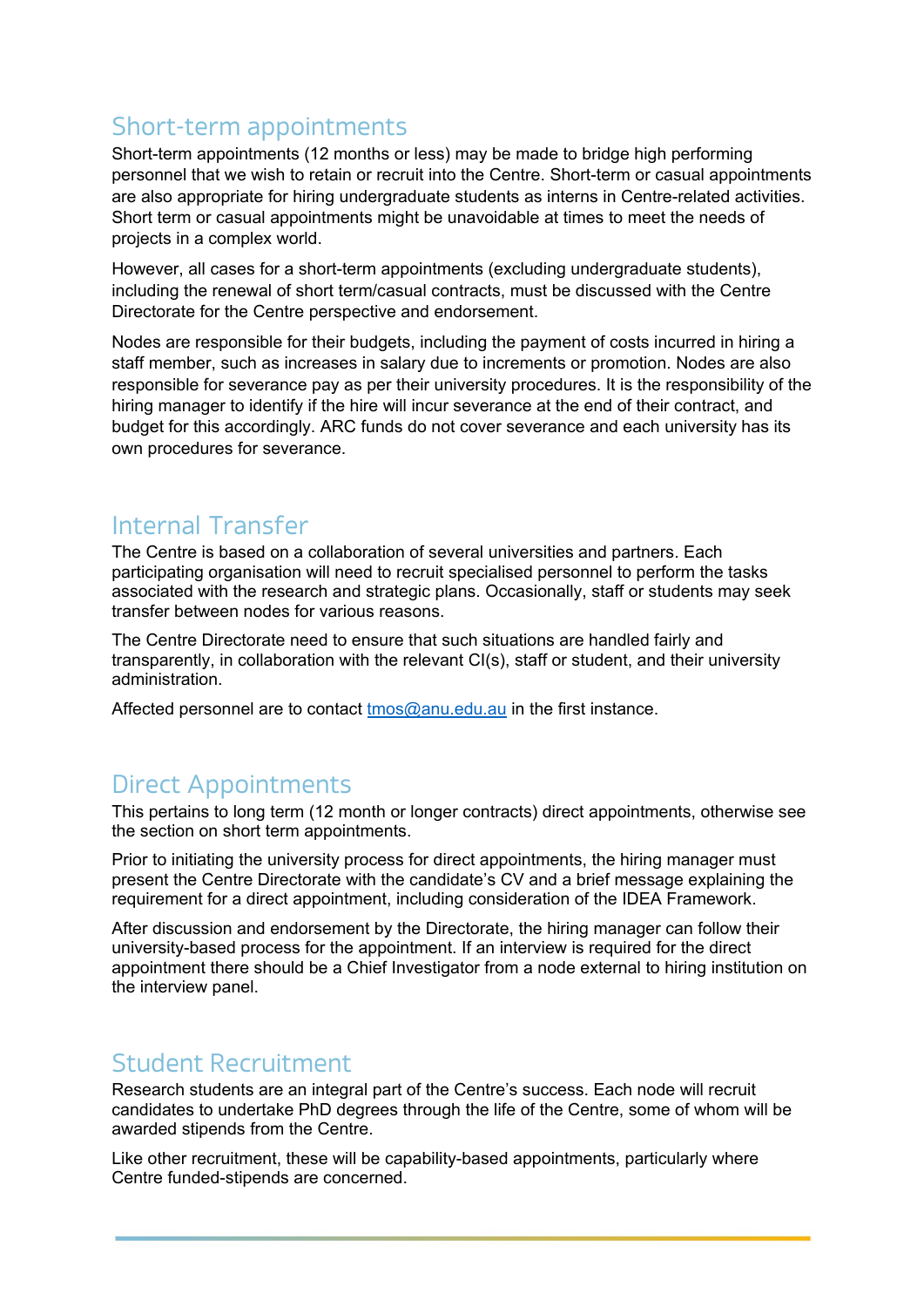# Short-term appointments

Short-term appointments (12 months or less) may be made to bridge high performing personnel that we wish to retain or recruit into the Centre. Short-term or casual appointments are also appropriate for hiring undergraduate students as interns in Centre-related activities. Short term or casual appointments might be unavoidable at times to meet the needs of projects in a complex world.

However, all cases for a short-term appointments (excluding undergraduate students), including the renewal of short term/casual contracts, must be discussed with the Centre Directorate for the Centre perspective and endorsement.

Nodes are responsible for their budgets, including the payment of costs incurred in hiring a staff member, such as increases in salary due to increments or promotion. Nodes are also responsible for severance pay as per their university procedures. It is the responsibility of the hiring manager to identify if the hire will incur severance at the end of their contract, and budget for this accordingly. ARC funds do not cover severance and each university has its own procedures for severance.

#### Internal Transfer

The Centre is based on a collaboration of several universities and partners. Each participating organisation will need to recruit specialised personnel to perform the tasks associated with the research and strategic plans. Occasionally, staff or students may seek transfer between nodes for various reasons.

The Centre Directorate need to ensure that such situations are handled fairly and transparently, in collaboration with the relevant CI(s), staff or student, and their university administration.

Affected personnel are to contact [tmos@anu.edu.au](mailto:tmos@anu.edu.au) in the first instance.

## Direct Appointments

This pertains to long term (12 month or longer contracts) direct appointments, otherwise see the section on short term appointments.

Prior to initiating the university process for direct appointments, the hiring manager must present the Centre Directorate with the candidate's CV and a brief message explaining the requirement for a direct appointment, including consideration of the IDEA Framework.

After discussion and endorsement by the Directorate, the hiring manager can follow their university-based process for the appointment. If an interview is required for the direct appointment there should be a Chief Investigator from a node external to hiring institution on the interview panel.

#### Student Recruitment

Research students are an integral part of the Centre's success. Each node will recruit candidates to undertake PhD degrees through the life of the Centre, some of whom will be awarded stipends from the Centre.

Like other recruitment, these will be capability-based appointments, particularly where Centre funded-stipends are concerned.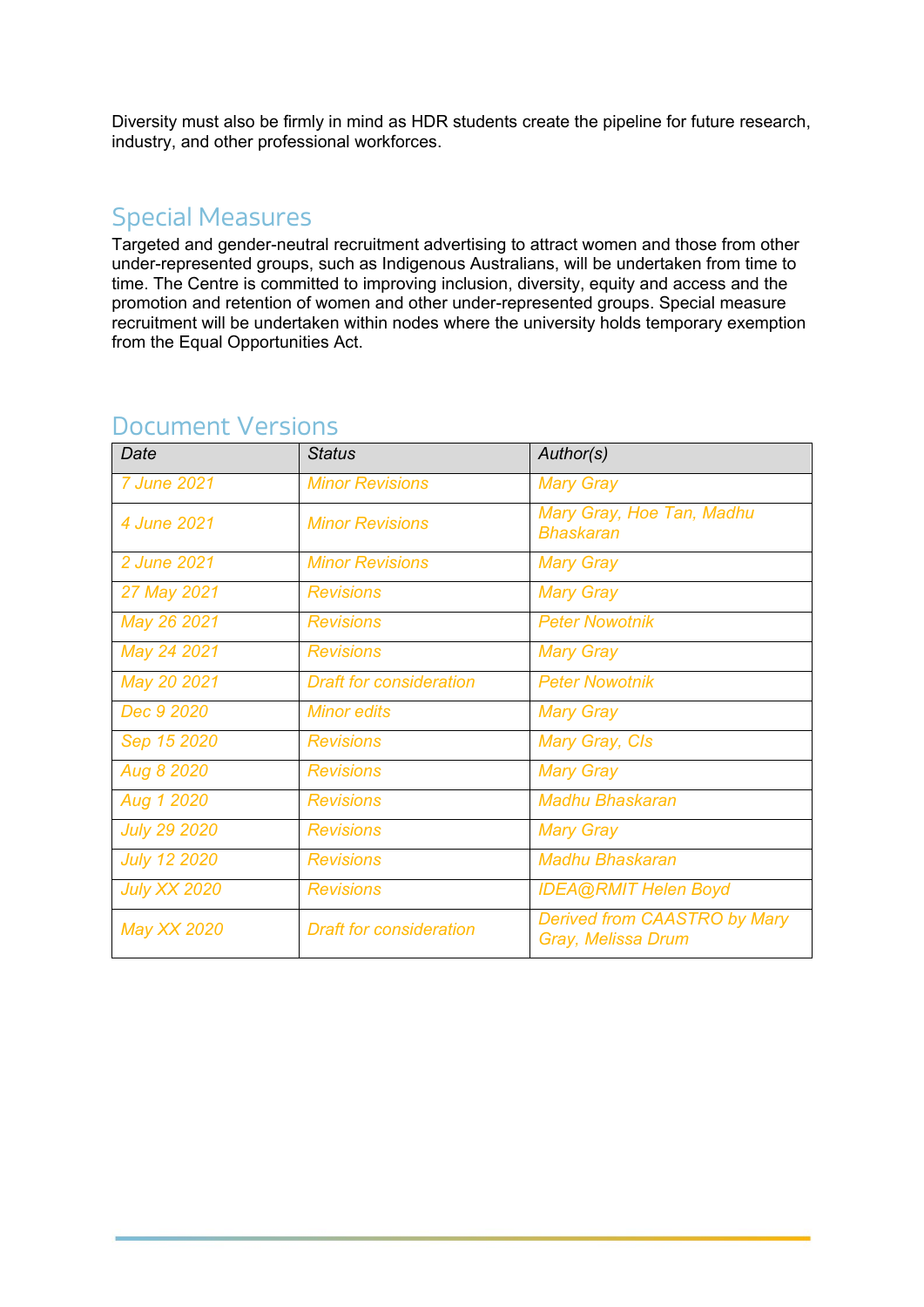Diversity must also be firmly in mind as HDR students create the pipeline for future research, industry, and other professional workforces.

#### Special Measures

Targeted and gender-neutral recruitment advertising to attract women and those from other under-represented groups, such as Indigenous Australians, will be undertaken from time to time. The Centre is committed to improving inclusion, diversity, equity and access and the promotion and retention of women and other under-represented groups. Special measure recruitment will be undertaken within nodes where the university holds temporary exemption from the Equal Opportunities Act.

| Date                | <b>Status</b>                  | Author(s)                                                 |  |
|---------------------|--------------------------------|-----------------------------------------------------------|--|
| 7 June 2021         | <b>Minor Revisions</b>         | <b>Mary Gray</b>                                          |  |
| 4 June 2021         | <b>Minor Revisions</b>         | Mary Gray, Hoe Tan, Madhu<br><b>Bhaskaran</b>             |  |
| 2 June 2021         | <b>Minor Revisions</b>         | <b>Mary Gray</b>                                          |  |
| 27 May 2021         | <b>Revisions</b>               | <b>Mary Gray</b>                                          |  |
| May 26 2021         | <b>Revisions</b>               | <b>Peter Nowotnik</b>                                     |  |
| May 24 2021         | <b>Revisions</b>               | <b>Mary Gray</b>                                          |  |
| May 20 2021         | <b>Draft for consideration</b> | <b>Peter Nowotnik</b>                                     |  |
| Dec 9 2020          | <b>Minor edits</b>             | <b>Mary Gray</b>                                          |  |
| Sep 15 2020         | <b>Revisions</b>               | Mary Gray, CIs                                            |  |
| Aug 8 2020          | <b>Revisions</b>               | <b>Mary Gray</b>                                          |  |
| Aug 1 2020          | <b>Revisions</b>               | <b>Madhu Bhaskaran</b>                                    |  |
| <b>July 29 2020</b> | <b>Revisions</b>               | <b>Mary Gray</b>                                          |  |
| <b>July 12 2020</b> | <b>Revisions</b>               | <b>Madhu Bhaskaran</b>                                    |  |
| <b>July XX 2020</b> | <b>Revisions</b>               | <b>IDEA@RMIT Helen Boyd</b>                               |  |
| <b>May XX 2020</b>  | <b>Draft for consideration</b> | <b>Derived from CAASTRO by Mary</b><br>Gray, Melissa Drum |  |

# Document Versions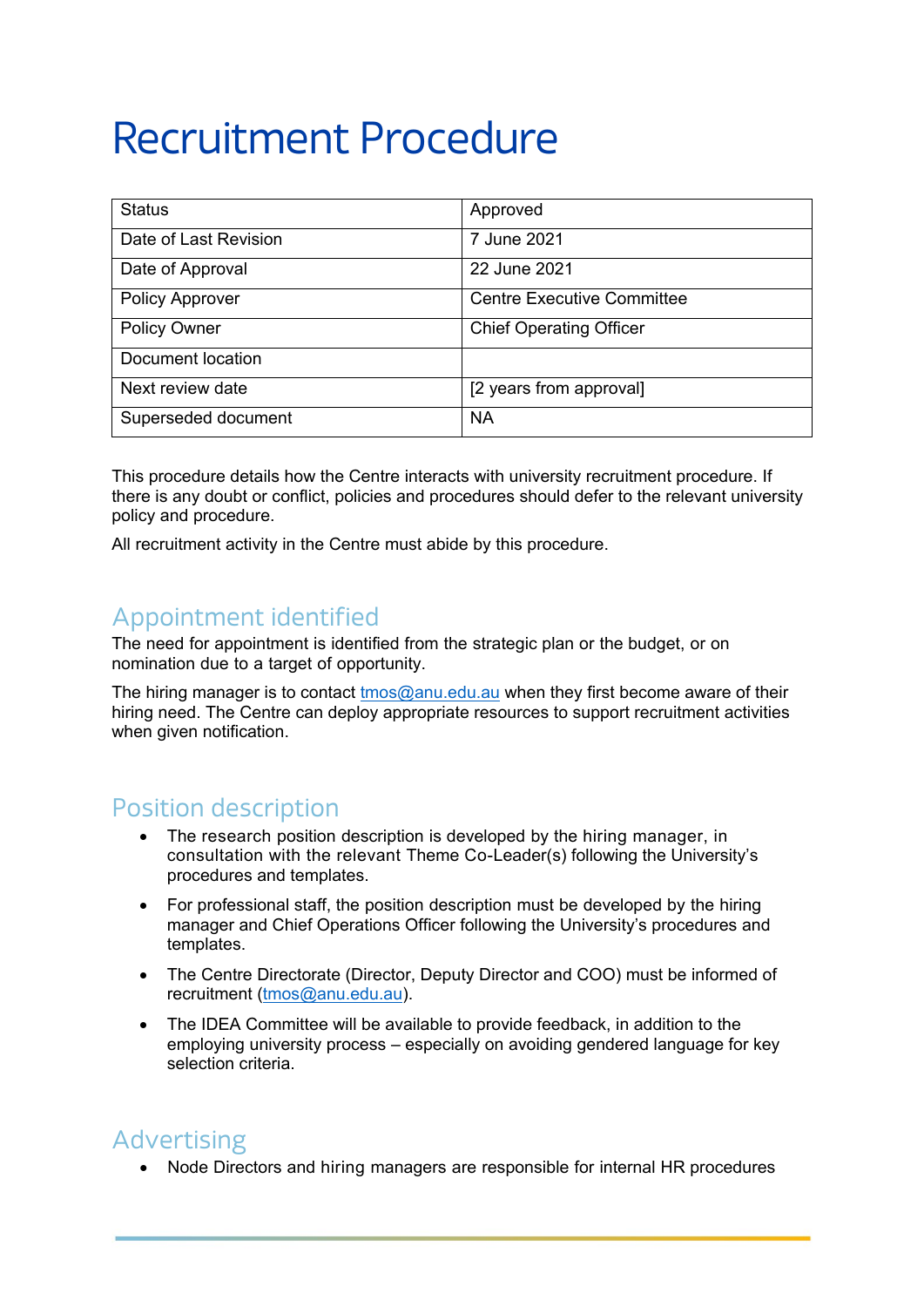# Recruitment Procedure

| <b>Status</b>          | Approved                          |
|------------------------|-----------------------------------|
| Date of Last Revision  | 7 June 2021                       |
| Date of Approval       | 22 June 2021                      |
| <b>Policy Approver</b> | <b>Centre Executive Committee</b> |
| <b>Policy Owner</b>    | <b>Chief Operating Officer</b>    |
| Document location      |                                   |
| Next review date       | [2 years from approval]           |
| Superseded document    | <b>NA</b>                         |

This procedure details how the Centre interacts with university recruitment procedure. If there is any doubt or conflict, policies and procedures should defer to the relevant university policy and procedure.

All recruitment activity in the Centre must abide by this procedure.

## Appointment identified

The need for appointment is identified from the strategic plan or the budget, or on nomination due to a target of opportunity.

The hiring manager is to contact [tmos@anu.edu.au](mailto:tmos@anu.edu.au) when they first become aware of their hiring need. The Centre can deploy appropriate resources to support recruitment activities when given notification.

#### Position description

- The research position description is developed by the hiring manager, in consultation with the relevant Theme Co-Leader(s) following the University's procedures and templates.
- For professional staff, the position description must be developed by the hiring manager and Chief Operations Officer following the University's procedures and templates.
- The Centre Directorate (Director, Deputy Director and COO) must be informed of recruitment [\(tmos@anu.edu.au\)](mailto:tmos@anu.edu.au).
- The IDEA Committee will be available to provide feedback, in addition to the employing university process – especially on avoiding gendered language for key selection criteria.

#### Advertising

• Node Directors and hiring managers are responsible for internal HR procedures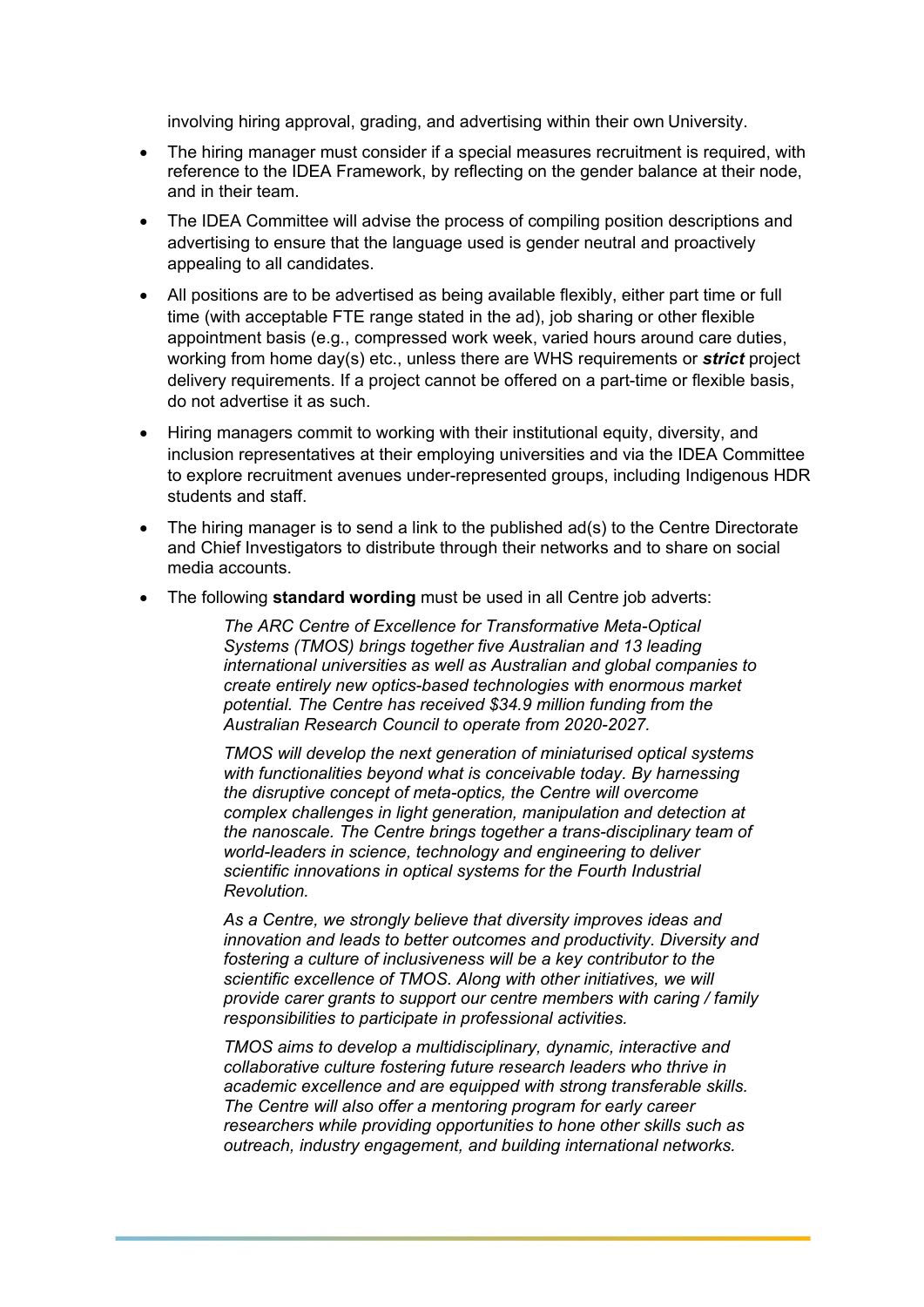involving hiring approval, grading, and advertising within their own University.

- The hiring manager must consider if a special measures recruitment is required, with reference to the IDEA Framework, by reflecting on the gender balance at their node, and in their team.
- The IDEA Committee will advise the process of compiling position descriptions and advertising to ensure that the language used is gender neutral and proactively appealing to all candidates.
- All positions are to be advertised as being available flexibly, either part time or full time (with acceptable FTE range stated in the ad), job sharing or other flexible appointment basis (e.g., compressed work week, varied hours around care duties, working from home day(s) etc., unless there are WHS requirements or *strict* project delivery requirements. If a project cannot be offered on a part-time or flexible basis, do not advertise it as such.
- Hiring managers commit to working with their institutional equity, diversity, and inclusion representatives at their employing universities and via the IDEA Committee to explore recruitment avenues under-represented groups, including Indigenous HDR students and staff.
- The hiring manager is to send a link to the published ad(s) to the Centre Directorate and Chief Investigators to distribute through their networks and to share on social media accounts.
- The following **standard wording** must be used in all Centre job adverts:

*The ARC Centre of Excellence for Transformative Meta-Optical Systems (TMOS) brings together five Australian and 13 leading international universities as well as Australian and global companies to create entirely new optics-based technologies with enormous market potential. The Centre has received \$34.9 million funding from the Australian Research Council to operate from 2020-2027.*

*TMOS will develop the next generation of miniaturised optical systems with functionalities beyond what is conceivable today. By harnessing the disruptive concept of meta-optics, the Centre will overcome complex challenges in light generation, manipulation and detection at the nanoscale. The Centre brings together a trans-disciplinary team of world-leaders in science, technology and engineering to deliver scientific innovations in optical systems for the Fourth Industrial Revolution.*

*As a Centre, we strongly believe that diversity improves ideas and innovation and leads to better outcomes and productivity. Diversity and fostering a culture of inclusiveness will be a key contributor to the scientific excellence of TMOS. Along with other initiatives, we will provide carer grants to support our centre members with caring / family responsibilities to participate in professional activities.*

*TMOS aims to develop a multidisciplinary, dynamic, interactive and collaborative culture fostering future research leaders who thrive in academic excellence and are equipped with strong transferable skills. The Centre will also offer a mentoring program for early career researchers while providing opportunities to hone other skills such as outreach, industry engagement, and building international networks.*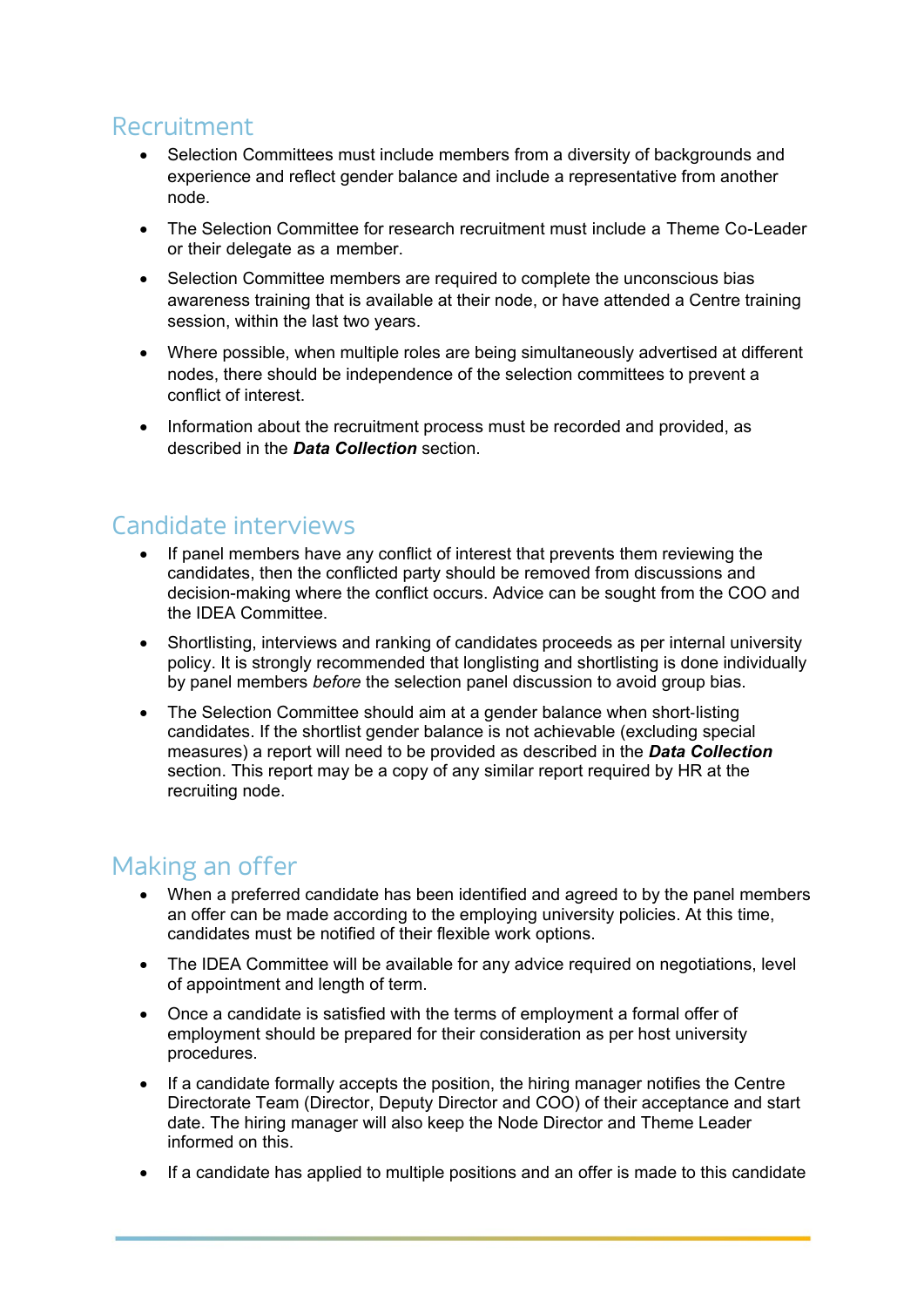## Recruitment

- Selection Committees must include members from a diversity of backgrounds and experience and reflect gender balance and include a representative from another node.
- The Selection Committee for research recruitment must include a Theme Co-Leader or their delegate as a member.
- Selection Committee members are required to complete the unconscious bias awareness training that is available at their node, or have attended a Centre training session, within the last two years.
- Where possible, when multiple roles are being simultaneously advertised at different nodes, there should be independence of the selection committees to prevent a conflict of interest.
- Information about the recruitment process must be recorded and provided, as described in the *Data Collection* section.

## Candidate interviews

- If panel members have any conflict of interest that prevents them reviewing the candidates, then the conflicted party should be removed from discussions and decision-making where the conflict occurs. Advice can be sought from the COO and the IDEA Committee.
- Shortlisting, interviews and ranking of candidates proceeds as per internal university policy. It is strongly recommended that longlisting and shortlisting is done individually by panel members *before* the selection panel discussion to avoid group bias.
- The Selection Committee should aim at a gender balance when short-listing candidates. If the shortlist gender balance is not achievable (excluding special measures) a report will need to be provided as described in the *Data Collection* section. This report may be a copy of any similar report required by HR at the recruiting node.

#### Making an offer

- When a preferred candidate has been identified and agreed to by the panel members an offer can be made according to the employing university policies. At this time, candidates must be notified of their flexible work options.
- The IDEA Committee will be available for any advice required on negotiations, level of appointment and length of term.
- Once a candidate is satisfied with the terms of employment a formal offer of employment should be prepared for their consideration as per host university procedures.
- If a candidate formally accepts the position, the hiring manager notifies the Centre Directorate Team (Director, Deputy Director and COO) of their acceptance and start date. The hiring manager will also keep the Node Director and Theme Leader informed on this.
- If a candidate has applied to multiple positions and an offer is made to this candidate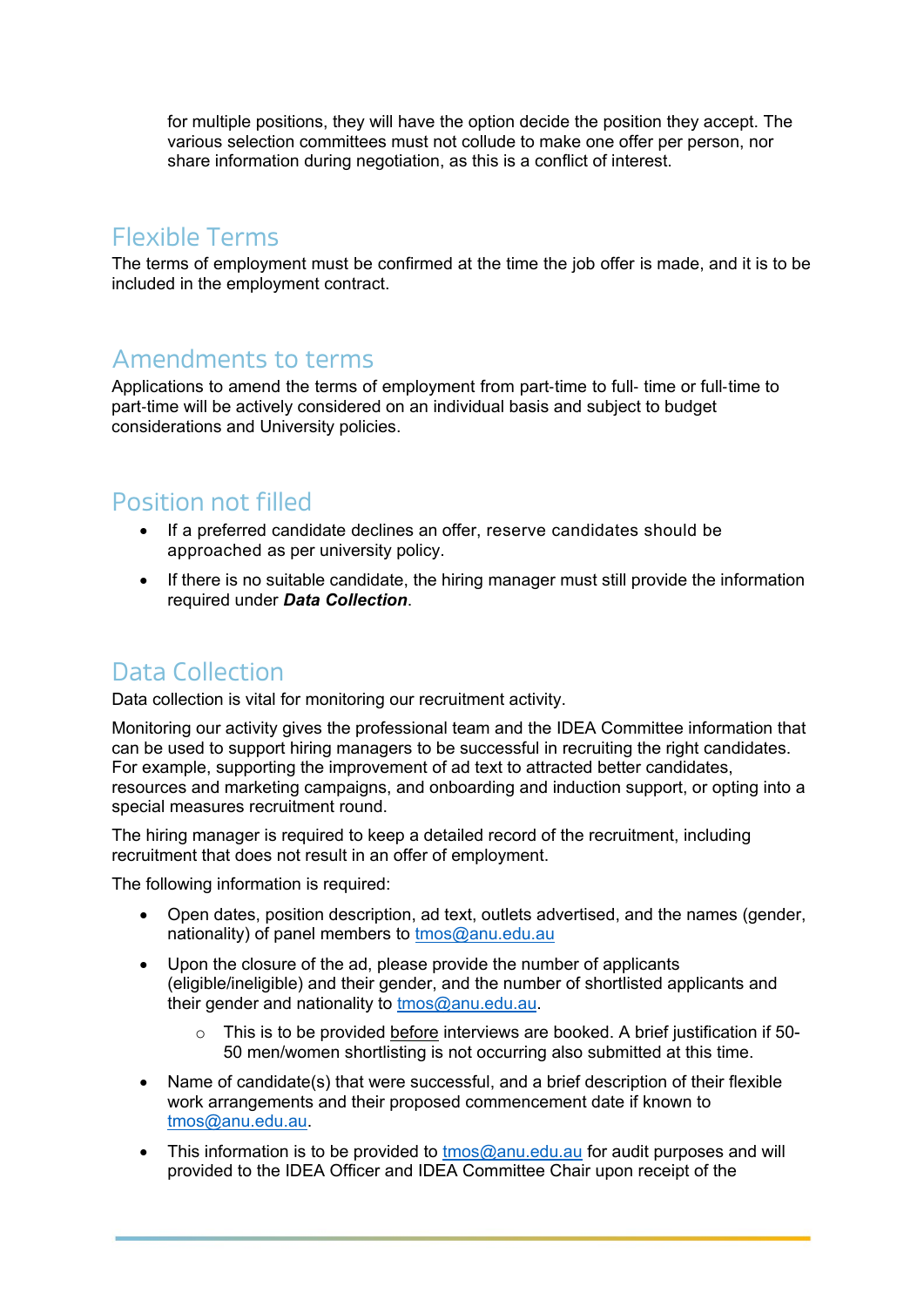for multiple positions, they will have the option decide the position they accept. The various selection committees must not collude to make one offer per person, nor share information during negotiation, as this is a conflict of interest.

## Flexible Terms

The terms of employment must be confirmed at the time the job offer is made, and it is to be included in the employment contract.

#### Amendments to terms

Applications to amend the terms of employment from part‐time to full‐ time or full‐time to part‐time will be actively considered on an individual basis and subject to budget considerations and University policies.

#### Position not filled

- If a preferred candidate declines an offer, reserve candidates should be approached as per university policy.
- If there is no suitable candidate, the hiring manager must still provide the information required under *Data Collection*.

## Data Collection

Data collection is vital for monitoring our recruitment activity.

Monitoring our activity gives the professional team and the IDEA Committee information that can be used to support hiring managers to be successful in recruiting the right candidates. For example, supporting the improvement of ad text to attracted better candidates, resources and marketing campaigns, and onboarding and induction support, or opting into a special measures recruitment round.

The hiring manager is required to keep a detailed record of the recruitment, including recruitment that does not result in an offer of employment.

The following information is required:

- Open dates, position description, ad text, outlets advertised, and the names (gender, nationality) of panel members to [tmos@anu.edu.au](mailto:tmos@anu.edu.au)
- Upon the closure of the ad, please provide the number of applicants (eligible/ineligible) and their gender, and the number of shortlisted applicants and their gender and nationality to [tmos@anu.edu.au.](mailto:tmos@anu.edu.au)
	- $\circ$  This is to be provided before interviews are booked. A brief justification if 50-50 men/women shortlisting is not occurring also submitted at this time.
- Name of candidate(s) that were successful, and a brief description of their flexible work arrangements and their proposed commencement date if known to [tmos@anu.edu.au.](mailto:tmos@anu.edu.au)
- This information is to be provided to [tmos@anu.edu.au](mailto:tmos@anu.edu.au) for audit purposes and will provided to the IDEA Officer and IDEA Committee Chair upon receipt of the